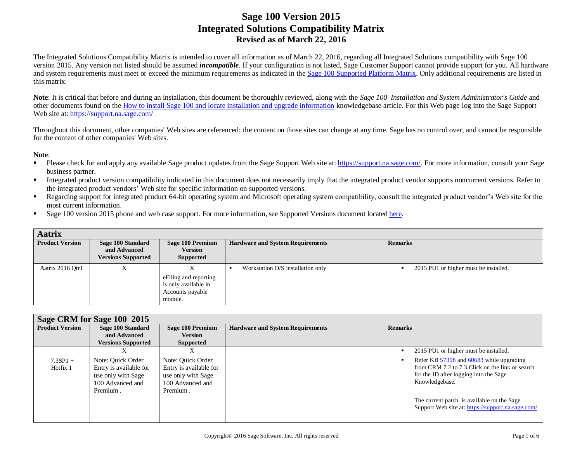The Integrated Solutions Compatibility Matrix is intended to cover all information as of March 22, 2016, regarding all Integrated Solutions compatibility with Sage 100 version 2015. Any version not listed should be assumed *incompatible*. If your configuration is not listed, Sage Customer Support cannot provide support for you. All hardware and system requirements must meet or exceed the minimum requirements as indicated in the [Sage 100 Supported Platform Matrix.](http://agente.finesse.na.sage.com/desktop/container/?locale=en_US) Only additional requirements are listed in this matrix.

**Note**: It is critical that before and during an installation, this document be thoroughly reviewed, along with the *Sage 100 Installation and System Administrator's Guide* and other documents found on th[e How to install Sage 100 and locate installation and upgrade information](http://agente.finesse.na.sage.com/desktop/container/?locale=en_US) knowledgebase article. For this Web page log into the Sage Support Web site at[: https://support.na.sage.com/](https://support.na.sage.com/)

Throughout this document, other companies' Web sites are referenced; the content on those sites can change at any time. Sage has no control over, and cannot be responsible for the content of other companies' Web sites.

#### **Note**:

- Please check for and apply any available Sage product updates from the Sage Support Web site at[: https://support.na.sage.com/.](https://support.na.sage.com/) For more information, consult your Sage business partner.
- Integrated product version compatibility indicated in this document does not necessarily imply that the integrated product vendor supports noncurrent versions. Refer to the integrated product vendors' Web site for specific information on supported versions.
- Regarding support for integrated product 64-bit operating system and Microsoft operating system compatibility, consult the integrated product vendor's Web site for the most current information.
- Sage 100 version 2015 phone and web case support. For more information, see Supported Versions document located [here.](https://support.na.sage.com/selfservice/viewdocument.do?noCount=true&externalId=31477&sliceId=1&dialogID=113151&cmd=displayKC&docType=kc&noCount=true&stateId=113158&isLoadPublishedVer=&docTypeID=DT_Article&ViewedDocsListHelper=com.kanisa.apps.common.BaseViewedDocsListHelperImpl)

| <b>Aatrix</b>          |                                                                |                                                                              |                                         |                                       |
|------------------------|----------------------------------------------------------------|------------------------------------------------------------------------------|-----------------------------------------|---------------------------------------|
| <b>Product Version</b> | Sage 100 Standard<br>and Advanced<br><b>Versions Supported</b> | Sage 100 Premium<br><b>Version</b><br><b>Supported</b>                       | <b>Hardware and System Requirements</b> | <b>Remarks</b>                        |
| Aatrix 2016 Qtr1       | Λ                                                              | eFiling and reporting<br>is only available in<br>Accounts payable<br>module. | Workstation O/S installation only       | 2015 PU1 or higher must be installed. |

|                        | Sage CRM for Sage 100 2015                                                                        |                                                                                                   |                                         |                                                                                                                                                          |  |  |
|------------------------|---------------------------------------------------------------------------------------------------|---------------------------------------------------------------------------------------------------|-----------------------------------------|----------------------------------------------------------------------------------------------------------------------------------------------------------|--|--|
| <b>Product Version</b> | Sage 100 Standard                                                                                 | <b>Sage 100 Premium</b>                                                                           | <b>Hardware and System Requirements</b> | <b>Remarks</b>                                                                                                                                           |  |  |
|                        | and Advanced                                                                                      | <b>Version</b>                                                                                    |                                         |                                                                                                                                                          |  |  |
|                        | <b>Versions Supported</b>                                                                         | <b>Supported</b>                                                                                  |                                         |                                                                                                                                                          |  |  |
|                        |                                                                                                   |                                                                                                   |                                         | 2015 PU1 or higher must be installed.                                                                                                                    |  |  |
| $7.3SP1 +$<br>Hotfix 1 | Note: Quick Order<br>Entry is available for<br>use only with Sage<br>100 Advanced and<br>Premium. | Note: Quick Order<br>Entry is available for<br>use only with Sage<br>100 Advanced and<br>Premium. |                                         | Refer KB 57398 and 60683 while upgrading<br>from CRM 7.2 to 7.3. Click on the link or search<br>for the ID after logging into the Sage<br>Knowledgebase. |  |  |
|                        |                                                                                                   |                                                                                                   |                                         | The current patch is available on the Sage<br>Support Web site at: https://support.na.sage.com/                                                          |  |  |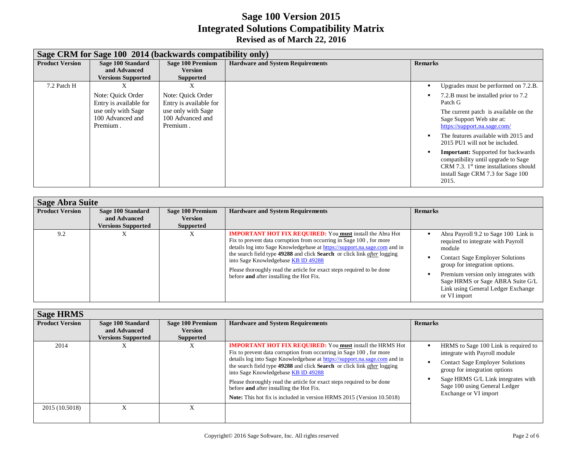|                        | Sage CRM for Sage 100 2014 (backwards compatibility only)                                         |                                                                                                   |                                         |                                                                                                                                                                                                                                                                                                                                                                                                                                                       |  |  |
|------------------------|---------------------------------------------------------------------------------------------------|---------------------------------------------------------------------------------------------------|-----------------------------------------|-------------------------------------------------------------------------------------------------------------------------------------------------------------------------------------------------------------------------------------------------------------------------------------------------------------------------------------------------------------------------------------------------------------------------------------------------------|--|--|
| <b>Product Version</b> | Sage 100 Standard<br>and Advanced<br><b>Versions Supported</b>                                    | Sage 100 Premium<br><b>Version</b><br><b>Supported</b>                                            | <b>Hardware and System Requirements</b> | <b>Remarks</b>                                                                                                                                                                                                                                                                                                                                                                                                                                        |  |  |
| 7.2 Patch H            | Note: Quick Order<br>Entry is available for<br>use only with Sage<br>100 Advanced and<br>Premium. | Note: Ouick Order<br>Entry is available for<br>use only with Sage<br>100 Advanced and<br>Premium. |                                         | Upgrades must be performed on 7.2.B.<br>7.2.B must be installed prior to 7.2<br>Patch G<br>The current patch is available on the<br>Sage Support Web site at:<br>https://support.na.sage.com/<br>The features available with 2015 and<br>2015 PU1 will not be included.<br><b>Important:</b> Supported for backwards<br>compatibility until upgrade to Sage<br>CRM 7.3. $1st$ time installations should<br>install Sage CRM 7.3 for Sage 100<br>2015. |  |  |

|                        | <b>Sage Abra Suite</b>                                         |                                                        |                                                                                                                                                                                                                                                                                                                                                                                                                                                               |                                                                                                                                                                                                                                                                                                    |  |  |  |
|------------------------|----------------------------------------------------------------|--------------------------------------------------------|---------------------------------------------------------------------------------------------------------------------------------------------------------------------------------------------------------------------------------------------------------------------------------------------------------------------------------------------------------------------------------------------------------------------------------------------------------------|----------------------------------------------------------------------------------------------------------------------------------------------------------------------------------------------------------------------------------------------------------------------------------------------------|--|--|--|
| <b>Product Version</b> | Sage 100 Standard<br>and Advanced<br><b>Versions Supported</b> | Sage 100 Premium<br><b>Version</b><br><b>Supported</b> | <b>Hardware and System Requirements</b>                                                                                                                                                                                                                                                                                                                                                                                                                       | <b>Remarks</b>                                                                                                                                                                                                                                                                                     |  |  |  |
| 9.2                    | Λ                                                              | X                                                      | <b>IMPORTANT HOT FIX REQUIRED:</b> You must install the Abra Hot<br>Fix to prevent data corruption from occurring in Sage 100, for more<br>details log into Sage Knowledgebase at https://support.na.sage.com and in<br>the search field type 49288 and click Search or click link after logging<br>into Sage Knowledgebase KB ID 49288<br>Please thoroughly read the article for exact steps required to be done<br>before and after installing the Hot Fix. | Abra Payroll 9.2 to Sage 100 Link is<br>required to integrate with Payroll<br>module<br><b>Contact Sage Employer Solutions</b><br>group for integration options.<br>Premium version only integrates with<br>Sage HRMS or Sage ABRA Suite G/L<br>Link using General Ledger Exchange<br>or VI import |  |  |  |

| <b>Sage HRMS</b>       |                                                                |                                                        |                                                                                                                                                                                                                                                                                                                                                                                                                                                                                                                                                      |                                                                                                                                                                                                                                                  |
|------------------------|----------------------------------------------------------------|--------------------------------------------------------|------------------------------------------------------------------------------------------------------------------------------------------------------------------------------------------------------------------------------------------------------------------------------------------------------------------------------------------------------------------------------------------------------------------------------------------------------------------------------------------------------------------------------------------------------|--------------------------------------------------------------------------------------------------------------------------------------------------------------------------------------------------------------------------------------------------|
| <b>Product Version</b> | Sage 100 Standard<br>and Advanced<br><b>Versions Supported</b> | Sage 100 Premium<br><b>Version</b><br><b>Supported</b> | <b>Hardware and System Requirements</b>                                                                                                                                                                                                                                                                                                                                                                                                                                                                                                              | <b>Remarks</b>                                                                                                                                                                                                                                   |
| 2014                   | Λ                                                              | л                                                      | <b>IMPORTANT HOT FIX REQUIRED:</b> You must install the HRMS Hot<br>Fix to prevent data corruption from occurring in Sage 100, for more<br>details log into Sage Knowledgebase at https://support.na.sage.com and in<br>the search field type 49288 and click Search or click link <i>after</i> logging<br>into Sage Knowledgebase KB ID 49288<br>Please thoroughly read the article for exact steps required to be done<br>before and after installing the Hot Fix.<br><b>Note:</b> This hot fix is included in version HRMS 2015 (Version 10.5018) | HRMS to Sage 100 Link is required to<br>integrate with Payroll module<br><b>Contact Sage Employer Solutions</b><br>group for integration options<br>Sage HRMS G/L Link integrates with<br>Sage 100 using General Ledger<br>Exchange or VI import |
| 2015 (10.5018)         | $\lambda$                                                      |                                                        |                                                                                                                                                                                                                                                                                                                                                                                                                                                                                                                                                      |                                                                                                                                                                                                                                                  |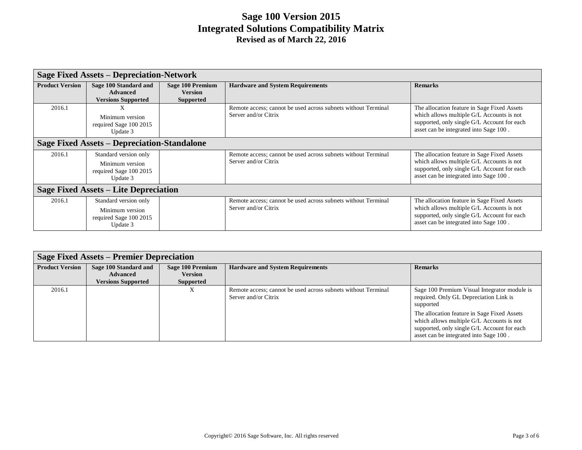|                                       | <b>Sage Fixed Assets - Depreciation-Network</b>                                |                                                               |                                                                                       |                                                                                                                                                                                   |  |  |
|---------------------------------------|--------------------------------------------------------------------------------|---------------------------------------------------------------|---------------------------------------------------------------------------------------|-----------------------------------------------------------------------------------------------------------------------------------------------------------------------------------|--|--|
| <b>Product Version</b>                | Sage 100 Standard and<br><b>Advanced</b><br><b>Versions Supported</b>          | <b>Sage 100 Premium</b><br><b>Version</b><br><b>Supported</b> | <b>Hardware and System Requirements</b>                                               | <b>Remarks</b>                                                                                                                                                                    |  |  |
| 2016.1                                | X<br>Minimum version<br>required Sage 100 2015<br>Update 3                     |                                                               | Remote access; cannot be used across subnets without Terminal<br>Server and/or Citrix | The allocation feature in Sage Fixed Assets<br>which allows multiple G/L Accounts is not<br>supported, only single G/L Account for each<br>asset can be integrated into Sage 100. |  |  |
|                                       | <b>Sage Fixed Assets – Depreciation-Standalone</b>                             |                                                               |                                                                                       |                                                                                                                                                                                   |  |  |
| 2016.1                                | Standard version only<br>Minimum version<br>required Sage 100 2015<br>Update 3 |                                                               | Remote access; cannot be used across subnets without Terminal<br>Server and/or Citrix | The allocation feature in Sage Fixed Assets<br>which allows multiple G/L Accounts is not<br>supported, only single G/L Account for each<br>asset can be integrated into Sage 100. |  |  |
| Sage Fixed Assets – Lite Depreciation |                                                                                |                                                               |                                                                                       |                                                                                                                                                                                   |  |  |
| 2016.1                                | Standard version only<br>Minimum version<br>required Sage 100 2015<br>Update 3 |                                                               | Remote access; cannot be used across subnets without Terminal<br>Server and/or Citrix | The allocation feature in Sage Fixed Assets<br>which allows multiple G/L Accounts is not<br>supported, only single G/L Account for each<br>asset can be integrated into Sage 100. |  |  |

| Sage Fixed Assets – Premier Depreciation |                                                                       |                                                 |                                                                                       |                                                                                                                                                                                   |  |
|------------------------------------------|-----------------------------------------------------------------------|-------------------------------------------------|---------------------------------------------------------------------------------------|-----------------------------------------------------------------------------------------------------------------------------------------------------------------------------------|--|
| <b>Product Version</b>                   | Sage 100 Standard and<br><b>Advanced</b><br><b>Versions Supported</b> | Sage 100 Premium<br><b>Version</b><br>Supported | <b>Hardware and System Requirements</b>                                               | <b>Remarks</b>                                                                                                                                                                    |  |
| 2016.1                                   |                                                                       | л                                               | Remote access; cannot be used across subnets without Terminal<br>Server and/or Citrix | Sage 100 Premium Visual Integrator module is<br>required. Only GL Depreciation Link is<br>supported                                                                               |  |
|                                          |                                                                       |                                                 |                                                                                       | The allocation feature in Sage Fixed Assets<br>which allows multiple G/L Accounts is not<br>supported, only single G/L Account for each<br>asset can be integrated into Sage 100. |  |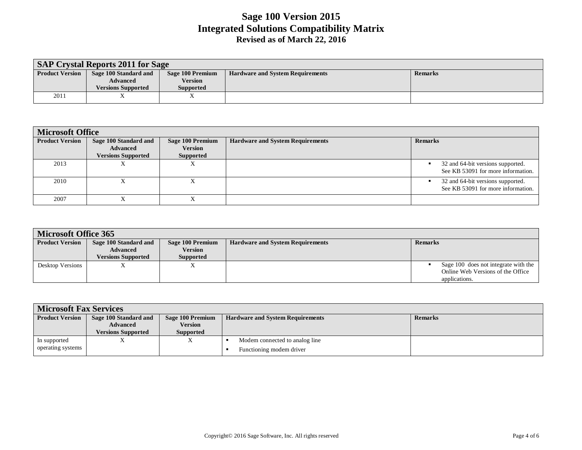| <b>SAP Crystal Reports 2011 for Sage</b> |                           |                  |                                         |                |  |  |
|------------------------------------------|---------------------------|------------------|-----------------------------------------|----------------|--|--|
| <b>Product Version</b>                   | Sage 100 Standard and     | Sage 100 Premium | <b>Hardware and System Requirements</b> | <b>Remarks</b> |  |  |
|                                          | <b>Advanced</b>           | <b>Version</b>   |                                         |                |  |  |
|                                          | <b>Versions Supported</b> | <b>Supported</b> |                                         |                |  |  |
| 2011                                     |                           | 77               |                                         |                |  |  |

| <b>Microsoft Office</b> |                                          |                                    |                                         |                                                                              |  |  |
|-------------------------|------------------------------------------|------------------------------------|-----------------------------------------|------------------------------------------------------------------------------|--|--|
| <b>Product Version</b>  | Sage 100 Standard and<br><b>Advanced</b> | Sage 100 Premium<br><b>Version</b> | <b>Hardware and System Requirements</b> | <b>Remarks</b>                                                               |  |  |
|                         | <b>Versions Supported</b>                | <b>Supported</b>                   |                                         |                                                                              |  |  |
| 2013                    |                                          |                                    |                                         | 32 and 64-bit versions supported.<br>See KB 53091 for more information.      |  |  |
| 2010                    |                                          |                                    |                                         | 32 and 64-bit versions supported.<br>٠<br>See KB 53091 for more information. |  |  |
| 2007                    |                                          |                                    |                                         |                                                                              |  |  |

| <b>Microsoft Office 365</b> |                           |                  |                                         |                                      |  |
|-----------------------------|---------------------------|------------------|-----------------------------------------|--------------------------------------|--|
| <b>Product Version</b>      | Sage 100 Standard and     | Sage 100 Premium | <b>Hardware and System Requirements</b> | <b>Remarks</b>                       |  |
|                             | <b>Advanced</b>           | Version          |                                         |                                      |  |
|                             | <b>Versions Supported</b> | Supported        |                                         |                                      |  |
| Desktop Versions            |                           |                  |                                         | Sage 100 does not integrate with the |  |
|                             |                           |                  |                                         | Online Web Versions of the Office    |  |
|                             |                           |                  |                                         | applications.                        |  |

| <b>Microsoft Fax Services</b> |                                          |                             |                                         |                |  |  |
|-------------------------------|------------------------------------------|-----------------------------|-----------------------------------------|----------------|--|--|
| <b>Product Version</b>        | Sage 100 Standard and<br><b>Advanced</b> | Sage 100 Premium<br>Version | <b>Hardware and System Requirements</b> | <b>Remarks</b> |  |  |
|                               | <b>Versions Supported</b>                | Supported                   |                                         |                |  |  |
| In supported                  |                                          |                             | Modem connected to analog line          |                |  |  |
| operating systems             |                                          |                             | Functioning modem driver                |                |  |  |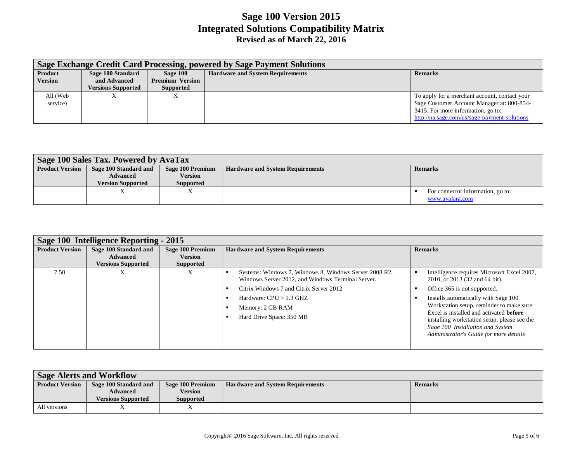|                | Sage Exchange Credit Card Processing, powered by Sage Payment Solutions |                        |                                         |                                               |  |  |
|----------------|-------------------------------------------------------------------------|------------------------|-----------------------------------------|-----------------------------------------------|--|--|
| <b>Product</b> | Sage 100 Standard                                                       | Sage 100               | <b>Hardware and System Requirements</b> | <b>Remarks</b>                                |  |  |
| <b>Version</b> | and Advanced                                                            | <b>Premium Version</b> |                                         |                                               |  |  |
|                | <b>Versions Supported</b>                                               | Supported              |                                         |                                               |  |  |
| All (Web       | л                                                                       | ∡                      |                                         | To apply for a merchant account, contact your |  |  |
| service)       |                                                                         |                        |                                         | Sage Customer Account Manager at: 800-854-    |  |  |
|                |                                                                         |                        |                                         | 3415. For more information, go to:            |  |  |
|                |                                                                         |                        |                                         | http://na.sage.com/us/sage-payment-solutions  |  |  |

| Sage 100 Sales Tax. Powered by AvaTax |                                                                      |                                                 |                                         |                                                      |  |
|---------------------------------------|----------------------------------------------------------------------|-------------------------------------------------|-----------------------------------------|------------------------------------------------------|--|
| <b>Product Version</b>                | Sage 100 Standard and<br><b>Advanced</b><br><b>Version Supported</b> | Sage 100 Premium<br>Version<br><b>Supported</b> | <b>Hardware and System Requirements</b> | <b>Remarks</b>                                       |  |
|                                       |                                                                      |                                                 |                                         | For connector information, go to:<br>www.avalara.com |  |

| Sage 100 Intelligence Reporting - 2015 |                                                                       |                                                        |                                                                                                                                                                                                                                     |                                                                                                                                                                                                                                                                                                                                                                                   |  |
|----------------------------------------|-----------------------------------------------------------------------|--------------------------------------------------------|-------------------------------------------------------------------------------------------------------------------------------------------------------------------------------------------------------------------------------------|-----------------------------------------------------------------------------------------------------------------------------------------------------------------------------------------------------------------------------------------------------------------------------------------------------------------------------------------------------------------------------------|--|
| <b>Product Version</b>                 | Sage 100 Standard and<br><b>Advanced</b><br><b>Versions Supported</b> | Sage 100 Premium<br><b>Version</b><br><b>Supported</b> | <b>Hardware and System Requirements</b>                                                                                                                                                                                             | <b>Remarks</b>                                                                                                                                                                                                                                                                                                                                                                    |  |
| 7.50                                   | $\lambda$                                                             | ∧                                                      | Systems: Windows 7, Windows 8, Windows Server 2008 R2,<br>Windows Server 2012, and Windows Terminal Server.<br>Citrix Windows 7 and Citrix Server 2012<br>Hardware: $CPU > 1.3$ GHZ<br>Memory: 2 GB RAM<br>Hard Drive Space: 350 MB | Intelligence requires Microsoft Excel 2007,<br>2010, or 2013 (32 and 64 bit).<br>Office 365 is not supported.<br>Installs automatically with Sage 100<br>Workstation setup, reminder to make sure<br>Excel is installed and activated <b>before</b><br>installing workstation setup, please see the<br>Sage 100 Installation and System<br>Administrator's Guide for more details |  |

| <b>Sage Alerts and Workflow</b> |                           |                  |                                         |                |  |
|---------------------------------|---------------------------|------------------|-----------------------------------------|----------------|--|
| <b>Product Version</b>          | Sage 100 Standard and     | Sage 100 Premium | <b>Hardware and System Requirements</b> | <b>Remarks</b> |  |
|                                 | <b>Advanced</b>           | <b>Version</b>   |                                         |                |  |
|                                 | <b>Versions Supported</b> | <b>Supported</b> |                                         |                |  |
| All versions                    |                           |                  |                                         |                |  |